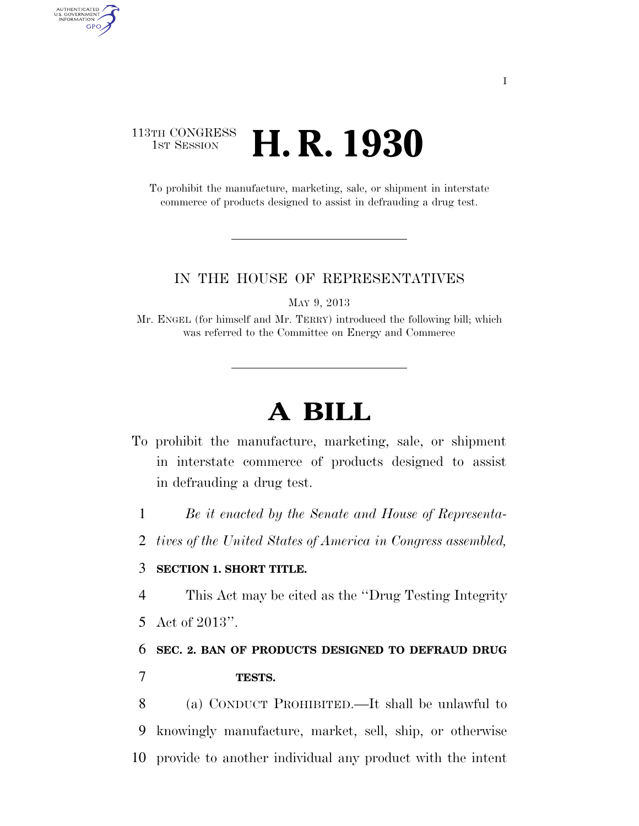### 113TH CONGRESS **1st Session H. R. 1930**

AUTHENTICATED<br>U.S. GOVERNMENT<br>INFORMATION GPO

> To prohibit the manufacture, marketing, sale, or shipment in interstate commerce of products designed to assist in defrauding a drug test.

#### IN THE HOUSE OF REPRESENTATIVES

MAY 9, 2013

Mr. ENGEL (for himself and Mr. TERRY) introduced the following bill; which was referred to the Committee on Energy and Commerce

# **A BILL**

- To prohibit the manufacture, marketing, sale, or shipment in interstate commerce of products designed to assist in defrauding a drug test.
	- 1 *Be it enacted by the Senate and House of Representa-*
	- 2 *tives of the United States of America in Congress assembled,*

#### 3 **SECTION 1. SHORT TITLE.**

- 4 This Act may be cited as the ''Drug Testing Integrity
- 5 Act of 2013''.

## 6 **SEC. 2. BAN OF PRODUCTS DESIGNED TO DEFRAUD DRUG**  7 **TESTS.**

8 (a) CONDUCT PROHIBITED.—It shall be unlawful to 9 knowingly manufacture, market, sell, ship, or otherwise 10 provide to another individual any product with the intent